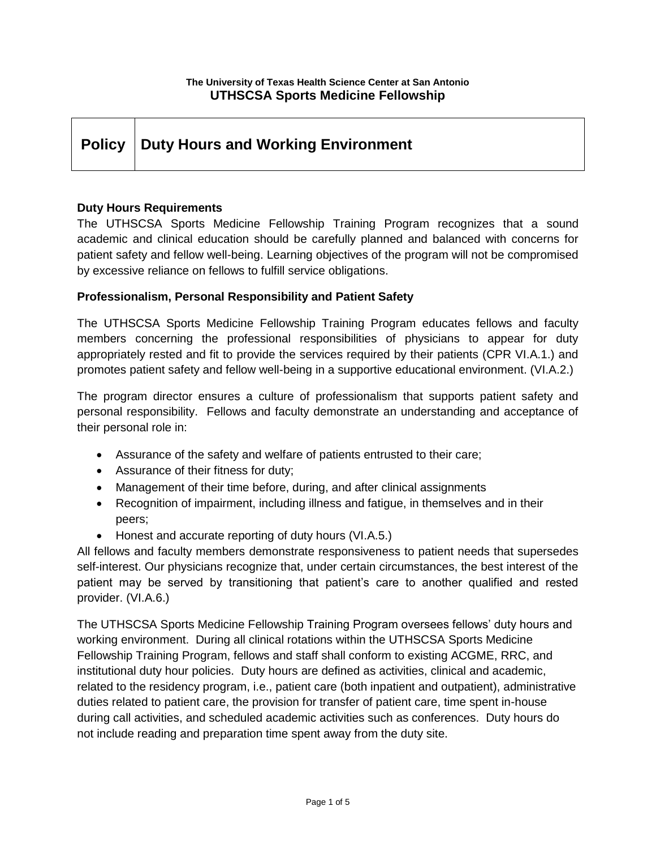# **Policy Duty Hours and Working Environment**

#### **Duty Hours Requirements**

The UTHSCSA Sports Medicine Fellowship Training Program recognizes that a sound academic and clinical education should be carefully planned and balanced with concerns for patient safety and fellow well-being. Learning objectives of the program will not be compromised by excessive reliance on fellows to fulfill service obligations.

#### **Professionalism, Personal Responsibility and Patient Safety**

The UTHSCSA Sports Medicine Fellowship Training Program educates fellows and faculty members concerning the professional responsibilities of physicians to appear for duty appropriately rested and fit to provide the services required by their patients (CPR VI.A.1.) and promotes patient safety and fellow well-being in a supportive educational environment. (VI.A.2.)

The program director ensures a culture of professionalism that supports patient safety and personal responsibility. Fellows and faculty demonstrate an understanding and acceptance of their personal role in:

- Assurance of the safety and welfare of patients entrusted to their care;
- Assurance of their fitness for duty;
- Management of their time before, during, and after clinical assignments
- Recognition of impairment, including illness and fatigue, in themselves and in their peers;
- Honest and accurate reporting of duty hours (VI.A.5.)

All fellows and faculty members demonstrate responsiveness to patient needs that supersedes self-interest. Our physicians recognize that, under certain circumstances, the best interest of the patient may be served by transitioning that patient's care to another qualified and rested provider. (VI.A.6.)

The UTHSCSA Sports Medicine Fellowship Training Program oversees fellows' duty hours and working environment. During all clinical rotations within the UTHSCSA Sports Medicine Fellowship Training Program, fellows and staff shall conform to existing ACGME, RRC, and institutional duty hour policies. Duty hours are defined as activities, clinical and academic, related to the residency program, i.e., patient care (both inpatient and outpatient), administrative duties related to patient care, the provision for transfer of patient care, time spent in-house during call activities, and scheduled academic activities such as conferences. Duty hours do not include reading and preparation time spent away from the duty site.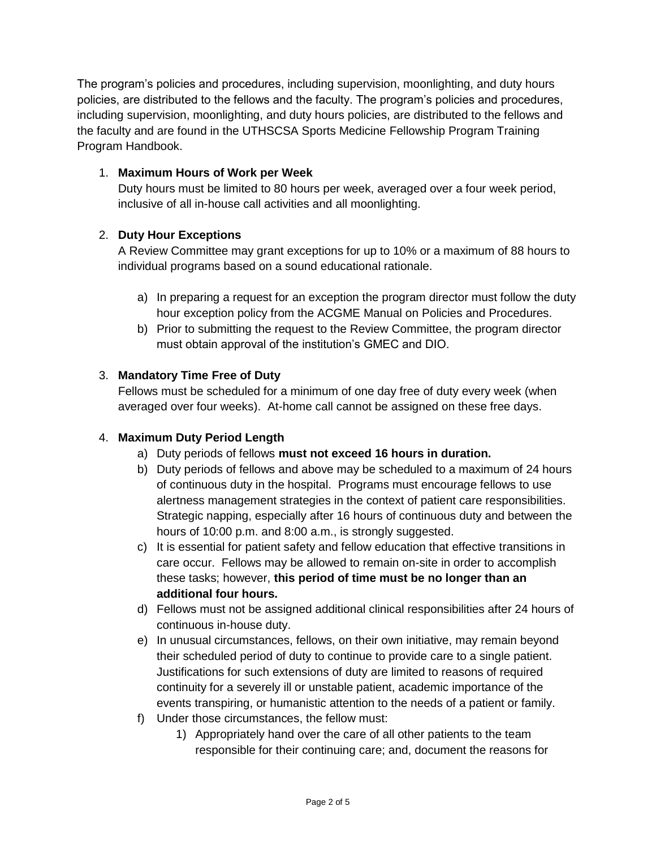The program's policies and procedures, including supervision, moonlighting, and duty hours policies, are distributed to the fellows and the faculty. The program's policies and procedures, including supervision, moonlighting, and duty hours policies, are distributed to the fellows and the faculty and are found in the UTHSCSA Sports Medicine Fellowship Program Training Program Handbook.

## 1. **Maximum Hours of Work per Week**

Duty hours must be limited to 80 hours per week, averaged over a four week period, inclusive of all in-house call activities and all moonlighting.

# 2. **Duty Hour Exceptions**

A Review Committee may grant exceptions for up to 10% or a maximum of 88 hours to individual programs based on a sound educational rationale.

- a) In preparing a request for an exception the program director must follow the duty hour exception policy from the ACGME Manual on Policies and Procedures.
- b) Prior to submitting the request to the Review Committee, the program director must obtain approval of the institution's GMEC and DIO.

# 3. **Mandatory Time Free of Duty**

Fellows must be scheduled for a minimum of one day free of duty every week (when averaged over four weeks). At-home call cannot be assigned on these free days.

### 4. **Maximum Duty Period Length**

- a) Duty periods of fellows **must not exceed 16 hours in duration.**
- b) Duty periods of fellows and above may be scheduled to a maximum of 24 hours of continuous duty in the hospital. Programs must encourage fellows to use alertness management strategies in the context of patient care responsibilities. Strategic napping, especially after 16 hours of continuous duty and between the hours of 10:00 p.m. and 8:00 a.m., is strongly suggested.
- c) It is essential for patient safety and fellow education that effective transitions in care occur. Fellows may be allowed to remain on-site in order to accomplish these tasks; however, **this period of time must be no longer than an additional four hours.**
- d) Fellows must not be assigned additional clinical responsibilities after 24 hours of continuous in-house duty.
- e) In unusual circumstances, fellows, on their own initiative, may remain beyond their scheduled period of duty to continue to provide care to a single patient. Justifications for such extensions of duty are limited to reasons of required continuity for a severely ill or unstable patient, academic importance of the events transpiring, or humanistic attention to the needs of a patient or family.
- f) Under those circumstances, the fellow must:
	- 1) Appropriately hand over the care of all other patients to the team responsible for their continuing care; and, document the reasons for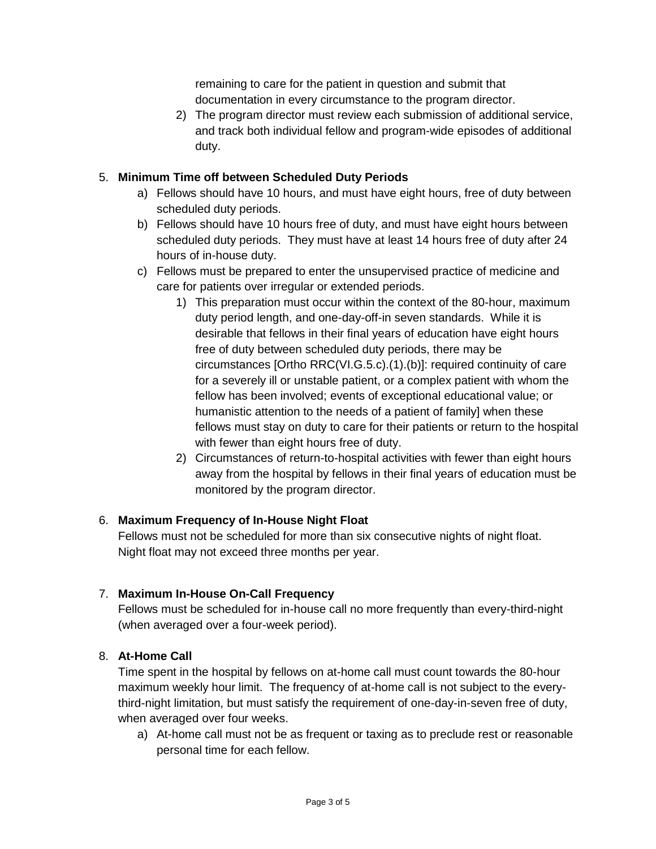remaining to care for the patient in question and submit that documentation in every circumstance to the program director.

2) The program director must review each submission of additional service, and track both individual fellow and program-wide episodes of additional duty.

## 5. **Minimum Time off between Scheduled Duty Periods**

- a) Fellows should have 10 hours, and must have eight hours, free of duty between scheduled duty periods.
- b) Fellows should have 10 hours free of duty, and must have eight hours between scheduled duty periods. They must have at least 14 hours free of duty after 24 hours of in-house duty.
- c) Fellows must be prepared to enter the unsupervised practice of medicine and care for patients over irregular or extended periods.
	- 1) This preparation must occur within the context of the 80-hour, maximum duty period length, and one-day-off-in seven standards. While it is desirable that fellows in their final years of education have eight hours free of duty between scheduled duty periods, there may be circumstances [Ortho RRC(VI.G.5.c).(1).(b)]: required continuity of care for a severely ill or unstable patient, or a complex patient with whom the fellow has been involved; events of exceptional educational value; or humanistic attention to the needs of a patient of family] when these fellows must stay on duty to care for their patients or return to the hospital with fewer than eight hours free of duty.
	- 2) Circumstances of return-to-hospital activities with fewer than eight hours away from the hospital by fellows in their final years of education must be monitored by the program director.

### 6. **Maximum Frequency of In-House Night Float**

Fellows must not be scheduled for more than six consecutive nights of night float. Night float may not exceed three months per year.

### 7. **Maximum In-House On-Call Frequency**

Fellows must be scheduled for in-house call no more frequently than every-third-night (when averaged over a four-week period).

### 8. **At-Home Call**

Time spent in the hospital by fellows on at-home call must count towards the 80-hour maximum weekly hour limit. The frequency of at-home call is not subject to the everythird-night limitation, but must satisfy the requirement of one-day-in-seven free of duty, when averaged over four weeks.

a) At-home call must not be as frequent or taxing as to preclude rest or reasonable personal time for each fellow.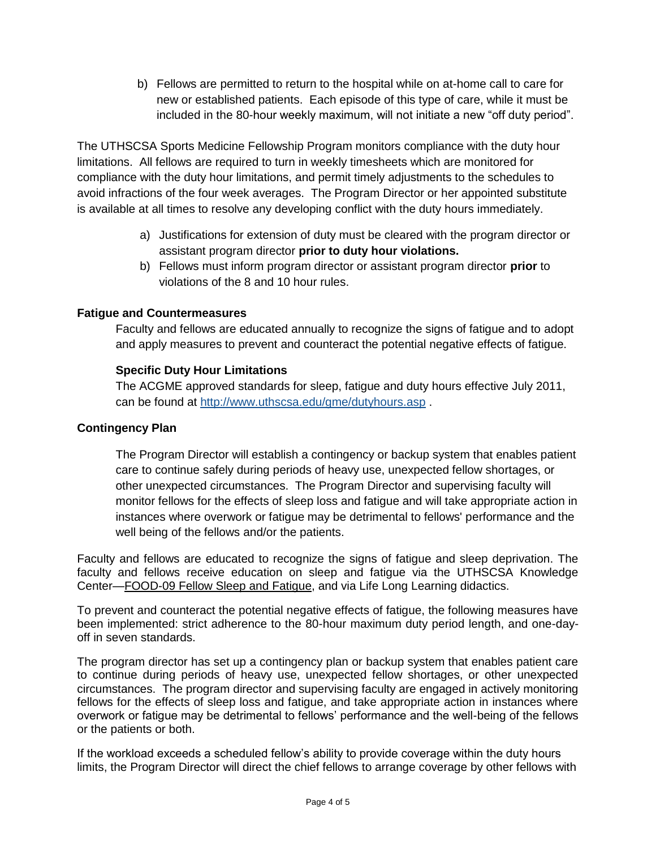b) Fellows are permitted to return to the hospital while on at-home call to care for new or established patients. Each episode of this type of care, while it must be included in the 80-hour weekly maximum, will not initiate a new "off duty period".

The UTHSCSA Sports Medicine Fellowship Program monitors compliance with the duty hour limitations. All fellows are required to turn in weekly timesheets which are monitored for compliance with the duty hour limitations, and permit timely adjustments to the schedules to avoid infractions of the four week averages. The Program Director or her appointed substitute is available at all times to resolve any developing conflict with the duty hours immediately.

- a) Justifications for extension of duty must be cleared with the program director or assistant program director **prior to duty hour violations.**
- b) Fellows must inform program director or assistant program director **prior** to violations of the 8 and 10 hour rules.

#### **Fatigue and Countermeasures**

Faculty and fellows are educated annually to recognize the signs of fatigue and to adopt and apply measures to prevent and counteract the potential negative effects of fatigue.

#### **Specific Duty Hour Limitations**

The ACGME approved standards for sleep, fatigue and duty hours effective July 2011, can be found at<http://www.uthscsa.edu/gme/dutyhours.asp> .

#### **Contingency Plan**

The Program Director will establish a contingency or backup system that enables patient care to continue safely during periods of heavy use, unexpected fellow shortages, or other unexpected circumstances. The Program Director and supervising faculty will monitor fellows for the effects of sleep loss and fatigue and will take appropriate action in instances where overwork or fatigue may be detrimental to fellows' performance and the well being of the fellows and/or the patients.

Faculty and fellows are educated to recognize the signs of fatigue and sleep deprivation. The faculty and fellows receive education on sleep and fatigue via the UTHSCSA Knowledge Center—FOOD-09 Fellow Sleep and Fatigue, and via Life Long Learning didactics.

To prevent and counteract the potential negative effects of fatigue, the following measures have been implemented: strict adherence to the 80-hour maximum duty period length, and one-dayoff in seven standards.

The program director has set up a contingency plan or backup system that enables patient care to continue during periods of heavy use, unexpected fellow shortages, or other unexpected circumstances. The program director and supervising faculty are engaged in actively monitoring fellows for the effects of sleep loss and fatigue, and take appropriate action in instances where overwork or fatigue may be detrimental to fellows' performance and the well-being of the fellows or the patients or both.

If the workload exceeds a scheduled fellow's ability to provide coverage within the duty hours limits, the Program Director will direct the chief fellows to arrange coverage by other fellows with